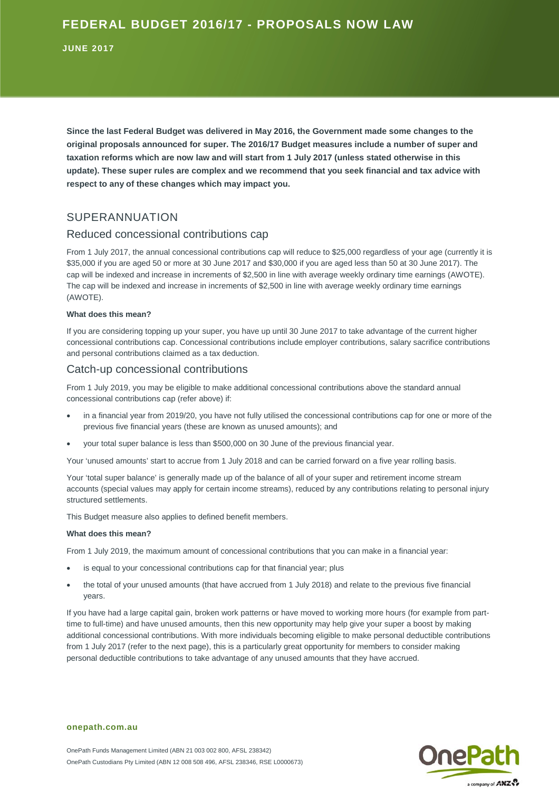**JUNE 2017**

**Since the last Federal Budget was delivered in May 2016, the Government made some changes to the original proposals announced for super. The 2016/17 Budget measures include a number of super and taxation reforms which are now law and will start from 1 July 2017 (unless stated otherwise in this update). These super rules are complex and we recommend that you seek financial and tax advice with respect to any of these changes which may impact you.** 

# SUPERANNUATION

## Reduced concessional contributions cap

From 1 July 2017, the annual concessional contributions cap will reduce to \$25,000 regardless of your age (currently it is \$35,000 if you are aged 50 or more at 30 June 2017 and \$30,000 if you are aged less than 50 at 30 June 2017). The cap will be indexed and increase in increments of \$2,500 in line with average weekly ordinary time earnings (AWOTE). The cap will be indexed and increase in increments of \$2,500 in line with average weekly ordinary time earnings (AWOTE).

#### **What does this mean?**

If you are considering topping up your super, you have up until 30 June 2017 to take advantage of the current higher concessional contributions cap. Concessional contributions include employer contributions, salary sacrifice contributions and personal contributions claimed as a tax deduction.

### Catch-up concessional contributions

From 1 July 2019, you may be eligible to make additional concessional contributions above the standard annual concessional contributions cap (refer above) if:

- in a financial year from 2019/20, you have not fully utilised the concessional contributions cap for one or more of the previous five financial years (these are known as unused amounts); and
- your total super balance is less than \$500,000 on 30 June of the previous financial year.

Your 'unused amounts' start to accrue from 1 July 2018 and can be carried forward on a five year rolling basis.

Your 'total super balance' is generally made up of the balance of all of your super and retirement income stream accounts (special values may apply for certain income streams), reduced by any contributions relating to personal injury structured settlements.

This Budget measure also applies to defined benefit members.

#### **What does this mean?**

From 1 July 2019, the maximum amount of concessional contributions that you can make in a financial year:

- is equal to your concessional contributions cap for that financial year; plus
- the total of your unused amounts (that have accrued from 1 July 2018) and relate to the previous five financial years.

If you have had a large capital gain, broken work patterns or have moved to working more hours (for example from parttime to full-time) and have unused amounts, then this new opportunity may help give your super a boost by making additional concessional contributions. With more individuals becoming eligible to make personal deductible contributions from 1 July 2017 (refer to the next page), this is a particularly great opportunity for members to consider making personal deductible contributions to take advantage of any unused amounts that they have accrued.



#### **onepath.com.au**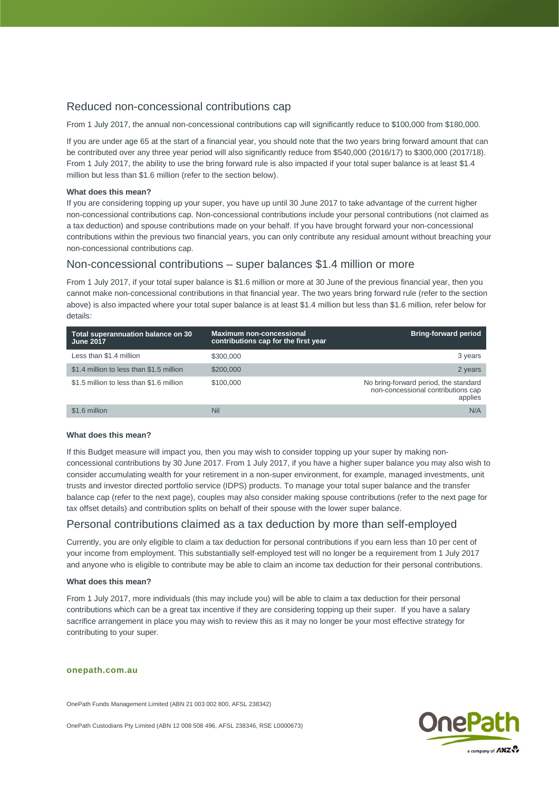# Reduced non-concessional contributions cap

From 1 July 2017, the annual non-concessional contributions cap will significantly reduce to \$100,000 from \$180,000.

If you are under age 65 at the start of a financial year, you should note that the two years bring forward amount that can be contributed over any three year period will also significantly reduce from \$540,000 (2016/17) to \$300,000 (2017/18). From 1 July 2017, the ability to use the bring forward rule is also impacted if your total super balance is at least \$1.4 million but less than \$1.6 million (refer to the section below).

#### **What does this mean?**

If you are considering topping up your super, you have up until 30 June 2017 to take advantage of the current higher non-concessional contributions cap. Non-concessional contributions include your personal contributions (not claimed as a tax deduction) and spouse contributions made on your behalf. If you have brought forward your non-concessional contributions within the previous two financial years, you can only contribute any residual amount without breaching your non-concessional contributions cap.

## Non-concessional contributions – super balances \$1.4 million or more

From 1 July 2017, if your total super balance is \$1.6 million or more at 30 June of the previous financial year, then you cannot make non-concessional contributions in that financial year. The two years bring forward rule (refer to the section above) is also impacted where your total super balance is at least \$1.4 million but less than \$1.6 million, refer below for details:

| Total superannuation balance on 30<br><b>June 2017</b> | <b>Maximum non-concessional</b><br>contributions cap for the first year | <b>Bring-forward period</b>                                                            |
|--------------------------------------------------------|-------------------------------------------------------------------------|----------------------------------------------------------------------------------------|
| Less than \$1.4 million                                | \$300,000                                                               | 3 years                                                                                |
| \$1.4 million to less than \$1.5 million               | \$200,000                                                               | 2 years                                                                                |
| \$1.5 million to less than \$1.6 million               | \$100,000                                                               | No bring-forward period, the standard<br>non-concessional contributions cap<br>applies |
| \$1.6 million                                          | Nil                                                                     | N/A                                                                                    |

#### **What does this mean?**

If this Budget measure will impact you, then you may wish to consider topping up your super by making nonconcessional contributions by 30 June 2017. From 1 July 2017, if you have a higher super balance you may also wish to consider accumulating wealth for your retirement in a non-super environment, for example, managed investments, unit trusts and investor directed portfolio service (IDPS) products. To manage your total super balance and the transfer balance cap (refer to the next page), couples may also consider making spouse contributions (refer to the next page for tax offset details) and contribution splits on behalf of their spouse with the lower super balance.

### Personal contributions claimed as a tax deduction by more than self-employed

Currently, you are only eligible to claim a tax deduction for personal contributions if you earn less than 10 per cent of your income from employment. This substantially self-employed test will no longer be a requirement from 1 July 2017 and anyone who is eligible to contribute may be able to claim an income tax deduction for their personal contributions.

#### **What does this mean?**

From 1 July 2017, more individuals (this may include you) will be able to claim a tax deduction for their personal contributions which can be a great tax incentive if they are considering topping up their super. If you have a salary sacrifice arrangement in place you may wish to review this as it may no longer be your most effective strategy for contributing to your super.

#### **onepath.com.au**

OnePath Funds Management Limited (ABN 21 003 002 800, AFSL 238342)

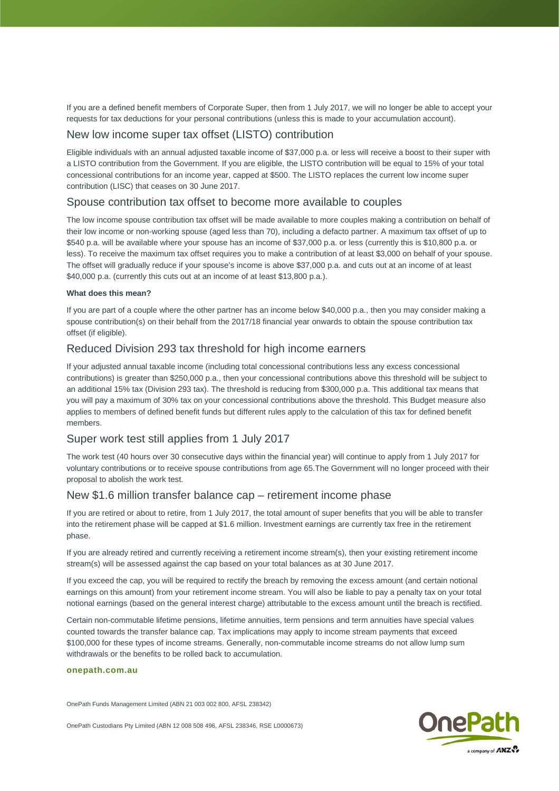If you are a defined benefit members of Corporate Super, then from 1 July 2017, we will no longer be able to accept your requests for tax deductions for your personal contributions (unless this is made to your accumulation account).

# New low income super tax offset (LISTO) contribution

Eligible individuals with an annual adjusted taxable income of \$37,000 p.a. or less will receive a boost to their super with a LISTO contribution from the Government. If you are eligible, the LISTO contribution will be equal to 15% of your total concessional contributions for an income year, capped at \$500. The LISTO replaces the current low income super contribution (LISC) that ceases on 30 June 2017.

### Spouse contribution tax offset to become more available to couples

The low income spouse contribution tax offset will be made available to more couples making a contribution on behalf of their low income or non-working spouse (aged less than 70), including a defacto partner. A maximum tax offset of up to \$540 p.a. will be available where your spouse has an income of \$37,000 p.a. or less (currently this is \$10,800 p.a. or less). To receive the maximum tax offset requires you to make a contribution of at least \$3,000 on behalf of your spouse. The offset will gradually reduce if your spouse's income is above \$37,000 p.a. and cuts out at an income of at least \$40,000 p.a. (currently this cuts out at an income of at least \$13,800 p.a.).

### **What does this mean?**

If you are part of a couple where the other partner has an income below \$40,000 p.a., then you may consider making a spouse contribution(s) on their behalf from the 2017/18 financial year onwards to obtain the spouse contribution tax offset (if eligible).

## Reduced Division 293 tax threshold for high income earners

If your adjusted annual taxable income (including total concessional contributions less any excess concessional contributions) is greater than \$250,000 p.a., then your concessional contributions above this threshold will be subject to an additional 15% tax (Division 293 tax). The threshold is reducing from \$300,000 p.a. This additional tax means that you will pay a maximum of 30% tax on your concessional contributions above the threshold. This Budget measure also applies to members of defined benefit funds but different rules apply to the calculation of this tax for defined benefit members.

# Super work test still applies from 1 July 2017

The work test (40 hours over 30 consecutive days within the financial year) will continue to apply from 1 July 2017 for voluntary contributions or to receive spouse contributions from age 65.The Government will no longer proceed with their proposal to abolish the work test.

## New \$1.6 million transfer balance cap – retirement income phase

If you are retired or about to retire, from 1 July 2017, the total amount of super benefits that you will be able to transfer into the retirement phase will be capped at \$1.6 million. Investment earnings are currently tax free in the retirement phase.

If you are already retired and currently receiving a retirement income stream(s), then your existing retirement income stream(s) will be assessed against the cap based on your total balances as at 30 June 2017.

If you exceed the cap, you will be required to rectify the breach by removing the excess amount (and certain notional earnings on this amount) from your retirement income stream. You will also be liable to pay a penalty tax on your total notional earnings (based on the general interest charge) attributable to the excess amount until the breach is rectified.

Certain non-commutable lifetime pensions, lifetime annuities, term pensions and term annuities have special values counted towards the transfer balance cap. Tax implications may apply to income stream payments that exceed \$100,000 for these types of income streams. Generally, non-commutable income streams do not allow lump sum withdrawals or the benefits to be rolled back to accumulation.

#### **onepath.com.au**

OnePath Funds Management Limited (ABN 21 003 002 800, AFSL 238342)

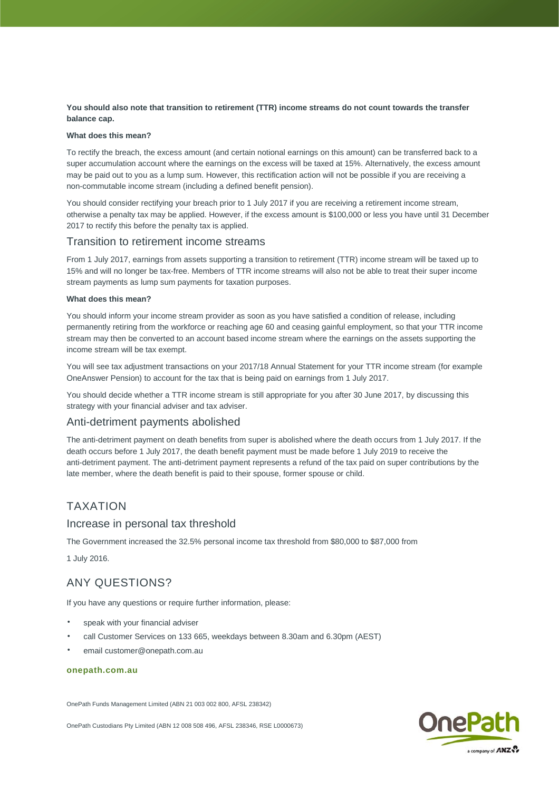### **You should also note that transition to retirement (TTR) income streams do not count towards the transfer balance cap.**

### **What does this mean?**

To rectify the breach, the excess amount (and certain notional earnings on this amount) can be transferred back to a super accumulation account where the earnings on the excess will be taxed at 15%. Alternatively, the excess amount may be paid out to you as a lump sum. However, this rectification action will not be possible if you are receiving a non-commutable income stream (including a defined benefit pension).

You should consider rectifying your breach prior to 1 July 2017 if you are receiving a retirement income stream, otherwise a penalty tax may be applied. However, if the excess amount is \$100,000 or less you have until 31 December 2017 to rectify this before the penalty tax is applied.

## Transition to retirement income streams

From 1 July 2017, earnings from assets supporting a transition to retirement (TTR) income stream will be taxed up to 15% and will no longer be tax-free. Members of TTR income streams will also not be able to treat their super income stream payments as lump sum payments for taxation purposes.

#### **What does this mean?**

You should inform your income stream provider as soon as you have satisfied a condition of release, including permanently retiring from the workforce or reaching age 60 and ceasing gainful employment, so that your TTR income stream may then be converted to an account based income stream where the earnings on the assets supporting the income stream will be tax exempt.

You will see tax adjustment transactions on your 2017/18 Annual Statement for your TTR income stream (for example OneAnswer Pension) to account for the tax that is being paid on earnings from 1 July 2017.

You should decide whether a TTR income stream is still appropriate for you after 30 June 2017, by discussing this strategy with your financial adviser and tax adviser.

## Anti-detriment payments abolished

The anti-detriment payment on death benefits from super is abolished where the death occurs from 1 July 2017. If the death occurs before 1 July 2017, the death benefit payment must be made before 1 July 2019 to receive the anti-detriment payment. The anti-detriment payment represents a refund of the tax paid on super contributions by the late member, where the death benefit is paid to their spouse, former spouse or child.

# TAXATION

### Increase in personal tax threshold

The Government increased the 32.5% personal income tax threshold from \$80,000 to \$87,000 from

1 July 2016.

# ANY QUESTIONS?

If you have any questions or require further information, please:

- speak with your financial adviser
- call Customer Services on 133 665, weekdays between 8.30am and 6.30pm (AEST)
- email customer@onepath.com.au

### **onepath.com.au**

OnePath Funds Management Limited (ABN 21 003 002 800, AFSL 238342)